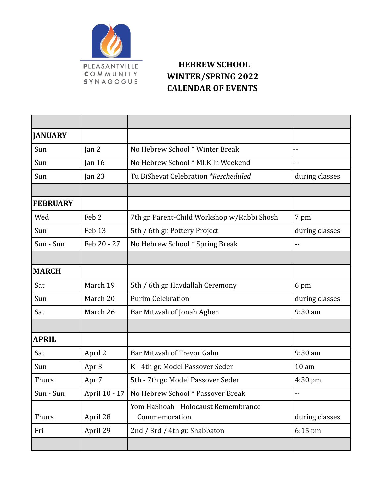

## **HEBREW SCHOOL WINTER/SPRING 2022 CALENDAR OF EVENTS**

| <b>JANUARY</b>  |                  |                                                      |                   |
|-----------------|------------------|------------------------------------------------------|-------------------|
| Sun             | Jan 2            | No Hebrew School * Winter Break                      | --                |
| Sun             | Jan 16           | No Hebrew School * MLK Jr. Weekend                   | --                |
| Sun             | Jan $23$         | Tu BiShevat Celebration *Rescheduled                 | during classes    |
|                 |                  |                                                      |                   |
| <b>FEBRUARY</b> |                  |                                                      |                   |
| Wed             | Feb <sub>2</sub> | 7th gr. Parent-Child Workshop w/Rabbi Shosh          | 7 pm              |
| Sun             | Feb 13           | 5th / 6th gr. Pottery Project                        | during classes    |
| Sun - Sun       | Feb 20 - 27      | No Hebrew School * Spring Break                      | $-$               |
|                 |                  |                                                      |                   |
| <b>MARCH</b>    |                  |                                                      |                   |
| Sat             | March 19         | 5th / 6th gr. Havdallah Ceremony                     | 6 pm              |
| Sun             | March 20         | <b>Purim Celebration</b>                             | during classes    |
| Sat             | March 26         | Bar Mitzvah of Jonah Aghen                           | 9:30 am           |
|                 |                  |                                                      |                   |
| <b>APRIL</b>    |                  |                                                      |                   |
| Sat             | April 2          | Bar Mitzvah of Trevor Galin                          | 9:30 am           |
| Sun             | Apr 3            | K - 4th gr. Model Passover Seder                     | 10 <sub>am</sub>  |
| <b>Thurs</b>    | Apr 7            | 5th - 7th gr. Model Passover Seder                   | $4:30 \text{ pm}$ |
| Sun - Sun       | April 10 - 17    | No Hebrew School * Passover Break                    | --                |
| <b>Thurs</b>    | April 28         | Yom HaShoah - Holocaust Remembrance<br>Commemoration | during classes    |
| Fri             | April 29         | 2nd / 3rd / 4th gr. Shabbaton                        | $6:15$ pm         |
|                 |                  |                                                      |                   |